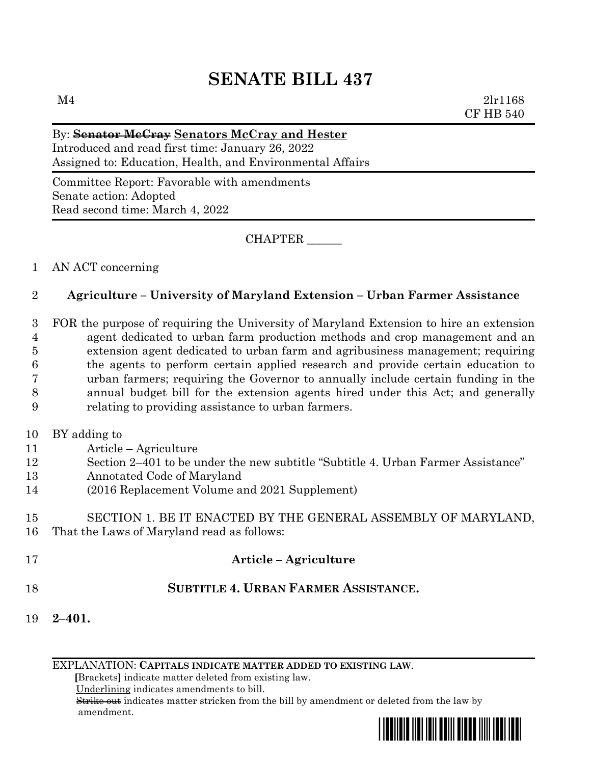# **SENATE BILL 437**

#### By: **Senator McCray Senators McCray and Hester**

Introduced and read first time: January 26, 2022 Assigned to: Education, Health, and Environmental Affairs

Committee Report: Favorable with amendments Senate action: Adopted Read second time: March 4, 2022

CHAPTER \_\_\_\_\_\_

### 1 AN ACT concerning

### 2 **Agriculture – University of Maryland Extension – Urban Farmer Assistance**

 FOR the purpose of requiring the University of Maryland Extension to hire an extension agent dedicated to urban farm production methods and crop management and an extension agent dedicated to urban farm and agribusiness management; requiring the agents to perform certain applied research and provide certain education to urban farmers; requiring the Governor to annually include certain funding in the annual budget bill for the extension agents hired under this Act; and generally relating to providing assistance to urban farmers.

- 10 BY adding to
- 11 Article Agriculture
- 12 Section 2–401 to be under the new subtitle "Subtitle 4. Urban Farmer Assistance"
- 13 Annotated Code of Maryland
- 14 (2016 Replacement Volume and 2021 Supplement)

#### 15 SECTION 1. BE IT ENACTED BY THE GENERAL ASSEMBLY OF MARYLAND, 16 That the Laws of Maryland read as follows:

- 17 **Article – Agriculture**
- 18 **SUBTITLE 4. URBAN FARMER ASSISTANCE.**
- 19 **2–401.**

EXPLANATION: **CAPITALS INDICATE MATTER ADDED TO EXISTING LAW**.

 **[**Brackets**]** indicate matter deleted from existing law.

Underlining indicates amendments to bill.

 Strike out indicates matter stricken from the bill by amendment or deleted from the law by amendment.

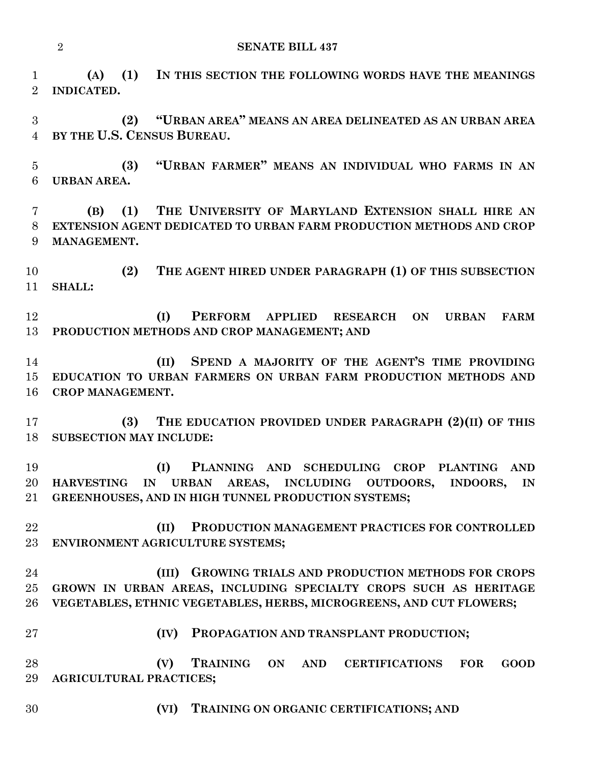**(A) (1) IN THIS SECTION THE FOLLOWING WORDS HAVE THE MEANINGS INDICATED.**

 **(2) "URBAN AREA" MEANS AN AREA DELINEATED AS AN URBAN AREA BY THE U.S. CENSUS BUREAU.**

 **(3) "URBAN FARMER" MEANS AN INDIVIDUAL WHO FARMS IN AN URBAN AREA.**

 **(B) (1) THE UNIVERSITY OF MARYLAND EXTENSION SHALL HIRE AN EXTENSION AGENT DEDICATED TO URBAN FARM PRODUCTION METHODS AND CROP MANAGEMENT.**

 **(2) THE AGENT HIRED UNDER PARAGRAPH (1) OF THIS SUBSECTION SHALL:**

 **(I) PERFORM APPLIED RESEARCH ON URBAN FARM PRODUCTION METHODS AND CROP MANAGEMENT; AND**

 **(II) SPEND A MAJORITY OF THE AGENT'S TIME PROVIDING EDUCATION TO URBAN FARMERS ON URBAN FARM PRODUCTION METHODS AND CROP MANAGEMENT.**

 **(3) THE EDUCATION PROVIDED UNDER PARAGRAPH (2)(II) OF THIS SUBSECTION MAY INCLUDE:**

 **(I) PLANNING AND SCHEDULING CROP PLANTING AND HARVESTING IN URBAN AREAS, INCLUDING OUTDOORS, INDOORS, IN GREENHOUSES, AND IN HIGH TUNNEL PRODUCTION SYSTEMS;**

 **(II) PRODUCTION MANAGEMENT PRACTICES FOR CONTROLLED ENVIRONMENT AGRICULTURE SYSTEMS;**

## **(III) GROWING TRIALS AND PRODUCTION METHODS FOR CROPS GROWN IN URBAN AREAS, INCLUDING SPECIALTY CROPS SUCH AS HERITAGE VEGETABLES, ETHNIC VEGETABLES, HERBS, MICROGREENS, AND CUT FLOWERS;**

**(IV) PROPAGATION AND TRANSPLANT PRODUCTION;**

 **(V) TRAINING ON AND CERTIFICATIONS FOR GOOD AGRICULTURAL PRACTICES;**

**(VI) TRAINING ON ORGANIC CERTIFICATIONS; AND**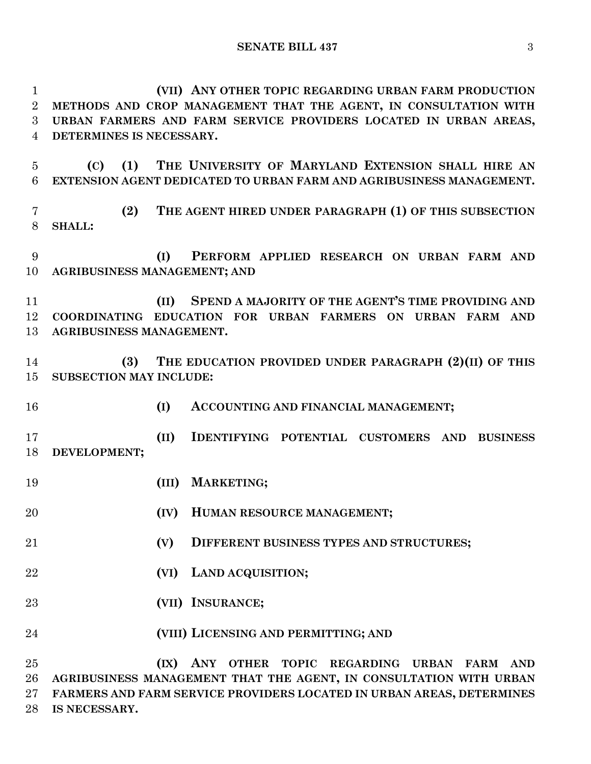**(VII) ANY OTHER TOPIC REGARDING URBAN FARM PRODUCTION METHODS AND CROP MANAGEMENT THAT THE AGENT, IN CONSULTATION WITH URBAN FARMERS AND FARM SERVICE PROVIDERS LOCATED IN URBAN AREAS, DETERMINES IS NECESSARY. (C) (1) THE UNIVERSITY OF MARYLAND EXTENSION SHALL HIRE AN EXTENSION AGENT DEDICATED TO URBAN FARM AND AGRIBUSINESS MANAGEMENT. (2) THE AGENT HIRED UNDER PARAGRAPH (1) OF THIS SUBSECTION SHALL: (I) PERFORM APPLIED RESEARCH ON URBAN FARM AND AGRIBUSINESS MANAGEMENT; AND**

 **(II) SPEND A MAJORITY OF THE AGENT'S TIME PROVIDING AND COORDINATING EDUCATION FOR URBAN FARMERS ON URBAN FARM AND AGRIBUSINESS MANAGEMENT.**

 **(3) THE EDUCATION PROVIDED UNDER PARAGRAPH (2)(II) OF THIS SUBSECTION MAY INCLUDE:**

**(I) ACCOUNTING AND FINANCIAL MANAGEMENT;**

 **(II) IDENTIFYING POTENTIAL CUSTOMERS AND BUSINESS DEVELOPMENT;**

- **(III) MARKETING;**
- **(IV) HUMAN RESOURCE MANAGEMENT;**
- **(V) DIFFERENT BUSINESS TYPES AND STRUCTURES;**
- **(VI) LAND ACQUISITION;**
- **(VII) INSURANCE;**
- **(VIII) LICENSING AND PERMITTING; AND**

 **(IX) ANY OTHER TOPIC REGARDING URBAN FARM AND AGRIBUSINESS MANAGEMENT THAT THE AGENT, IN CONSULTATION WITH URBAN FARMERS AND FARM SERVICE PROVIDERS LOCATED IN URBAN AREAS, DETERMINES IS NECESSARY.**